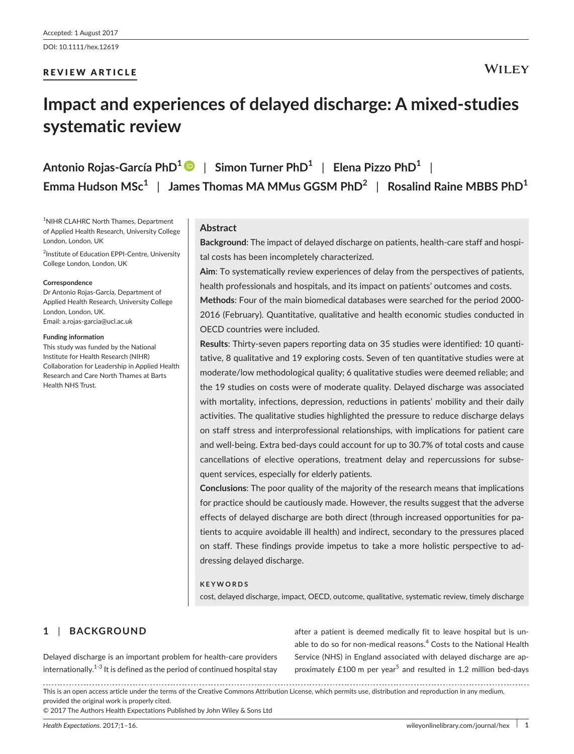# REVIEW ARTICLE

# **Impact and experiences of delayed discharge: A mixed-studies systematic review**

**Antonio Rojas-García PhD<sup>1</sup>** | **Simon Turner PhD<sup>1</sup>** | **Elena Pizzo PhD<sup>1</sup>** | **Emma Hudson MSc<sup>1</sup>** | **James Thomas MA MMus GGSM PhD<sup>2</sup>** | **Rosalind Raine MBBS PhD<sup>1</sup>**

1 NIHR CLAHRC North Thames, Department of Applied Health Research, University College London, London, UK

<sup>2</sup>Institute of Education EPPI-Centre, University College London, London, UK

#### **Correspondence**

Dr Antonio Rojas-García, Department of Applied Health Research, University College London, London, UK. Email: [a.rojas-garcia@ucl.ac.uk](mailto:a.rojas-garcia@ucl.ac.uk)

#### **Funding information**

This study was funded by the National Institute for Health Research (NIHR) Collaboration for Leadership in Applied Health Research and Care North Thames at Barts Health NHS Trust.

# **Abstract**

**Background**: The impact of delayed discharge on patients, health-care staff and hospital costs has been incompletely characterized.

**Aim**: To systematically review experiences of delay from the perspectives of patients, health professionals and hospitals, and its impact on patients' outcomes and costs.

**Methods**: Four of the main biomedical databases were searched for the period 2000- 2016 (February). Quantitative, qualitative and health economic studies conducted in OECD countries were included.

**Results**: Thirty-seven papers reporting data on 35 studies were identified: 10 quantitative, 8 qualitative and 19 exploring costs. Seven of ten quantitative studies were at moderate/low methodological quality; 6 qualitative studies were deemed reliable; and the 19 studies on costs were of moderate quality. Delayed discharge was associated with mortality, infections, depression, reductions in patients' mobility and their daily activities. The qualitative studies highlighted the pressure to reduce discharge delays on staff stress and interprofessional relationships, with implications for patient care and well-being. Extra bed-days could account for up to 30.7% of total costs and cause cancellations of elective operations, treatment delay and repercussions for subsequent services, especially for elderly patients.

**Conclusions**: The poor quality of the majority of the research means that implications for practice should be cautiously made. However, the results suggest that the adverse effects of delayed discharge are both direct (through increased opportunities for patients to acquire avoidable ill health) and indirect, secondary to the pressures placed on staff. These findings provide impetus to take a more holistic perspective to addressing delayed discharge.

### **KEYWORDS**

cost, delayed discharge, impact, OECD, outcome, qualitative, systematic review, timely discharge

# **1** | **BACKGROUND**

Delayed discharge is an important problem for health-care providers internationally. $1-3$  It is defined as the period of continued hospital stay after a patient is deemed medically fit to leave hospital but is unable to do so for non-medical reasons.<sup>4</sup> Costs to the National Health Service (NHS) in England associated with delayed discharge are approximately £100 m per year<sup>5</sup> and resulted in 1.2 million bed-days

This is an open access article under the terms of the [Creative Commons Attribution](http://creativecommons.org/licenses/by/4.0/) License, which permits use, distribution and reproduction in any medium, provided the original work is properly cited.

© 2017 The Authors Health Expectations Published by John Wiley & Sons Ltd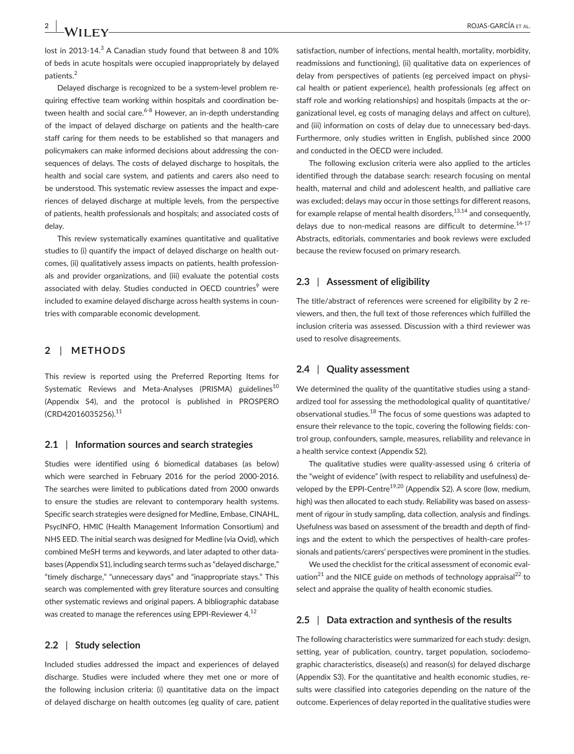lost in 2013-14. $3$  A Canadian study found that between 8 and 10% of beds in acute hospitals were occupied inappropriately by delayed patients.<sup>2</sup>

Delayed discharge is recognized to be a system-level problem requiring effective team working within hospitals and coordination between health and social care.<sup>6-8</sup> However, an in-depth understanding of the impact of delayed discharge on patients and the health-care staff caring for them needs to be established so that managers and policymakers can make informed decisions about addressing the consequences of delays. The costs of delayed discharge to hospitals, the health and social care system, and patients and carers also need to be understood. This systematic review assesses the impact and experiences of delayed discharge at multiple levels, from the perspective of patients, health professionals and hospitals; and associated costs of delay.

This review systematically examines quantitative and qualitative studies to (i) quantify the impact of delayed discharge on health outcomes, (ii) qualitatively assess impacts on patients, health professionals and provider organizations, and (iii) evaluate the potential costs associated with delay. Studies conducted in OECD countries<sup>9</sup> were included to examine delayed discharge across health systems in countries with comparable economic development.

# **2** | **METHODS**

This review is reported using the Preferred Reporting Items for Systematic Reviews and Meta-Analyses (PRISMA) guidelines<sup>10</sup> (Appendix S4), and the protocol is published in PROSPERO (CRD42016035256).11

#### **2.1** | **Information sources and search strategies**

Studies were identified using 6 biomedical databases (as below) which were searched in February 2016 for the period 2000-2016. The searches were limited to publications dated from 2000 onwards to ensure the studies are relevant to contemporary health systems. Specific search strategies were designed for Medline, Embase, CINAHL, PsycINFO, HMIC (Health Management Information Consortium) and NHS EED. The initial search was designed for Medline (via Ovid), which combined MeSH terms and keywords, and later adapted to other databases (Appendix S1), including search terms such as "delayed discharge," "timely discharge," "unnecessary days" and "inappropriate stays." This search was complemented with grey literature sources and consulting other systematic reviews and original papers. A bibliographic database was created to manage the references using EPPI-Reviewer 4.<sup>12</sup>

#### **2.2** | **Study selection**

Included studies addressed the impact and experiences of delayed discharge. Studies were included where they met one or more of the following inclusion criteria: (i) quantitative data on the impact of delayed discharge on health outcomes (eg quality of care, patient satisfaction, number of infections, mental health, mortality, morbidity, readmissions and functioning), (ii) qualitative data on experiences of delay from perspectives of patients (eg perceived impact on physical health or patient experience), health professionals (eg affect on staff role and working relationships) and hospitals (impacts at the organizational level, eg costs of managing delays and affect on culture), and (iii) information on costs of delay due to unnecessary bed-days. Furthermore, only studies written in English, published since 2000 and conducted in the OECD were included.

The following exclusion criteria were also applied to the articles identified through the database search: research focusing on mental health, maternal and child and adolescent health, and palliative care was excluded; delays may occur in those settings for different reasons, for example relapse of mental health disorders, $13,14$  and consequently, delays due to non-medical reasons are difficult to determine.<sup>14-17</sup> Abstracts, editorials, commentaries and book reviews were excluded because the review focused on primary research.

#### **2.3** | **Assessment of eligibility**

The title/abstract of references were screened for eligibility by 2 reviewers, and then, the full text of those references which fulfilled the inclusion criteria was assessed. Discussion with a third reviewer was used to resolve disagreements.

#### **2.4** | **Quality assessment**

We determined the quality of the quantitative studies using a standardized tool for assessing the methodological quality of quantitative/ observational studies.18 The focus of some questions was adapted to ensure their relevance to the topic, covering the following fields: control group, confounders, sample, measures, reliability and relevance in a health service context (Appendix S2).

The qualitative studies were quality-assessed using 6 criteria of the "weight of evidence" (with respect to reliability and usefulness) developed by the EPPI-Centre<sup>19,20</sup> (Appendix S2). A score (low, medium, high) was then allocated to each study. Reliability was based on assessment of rigour in study sampling, data collection, analysis and findings. Usefulness was based on assessment of the breadth and depth of findings and the extent to which the perspectives of health-care professionals and patients/carers' perspectives were prominent in the studies.

We used the checklist for the critical assessment of economic evaluation<sup>21</sup> and the NICE guide on methods of technology appraisal<sup>22</sup> to select and appraise the quality of health economic studies.

#### **2.5** | **Data extraction and synthesis of the results**

The following characteristics were summarized for each study: design, setting, year of publication, country, target population, sociodemographic characteristics, disease(s) and reason(s) for delayed discharge (Appendix S3). For the quantitative and health economic studies, results were classified into categories depending on the nature of the outcome. Experiences of delay reported in the qualitative studies were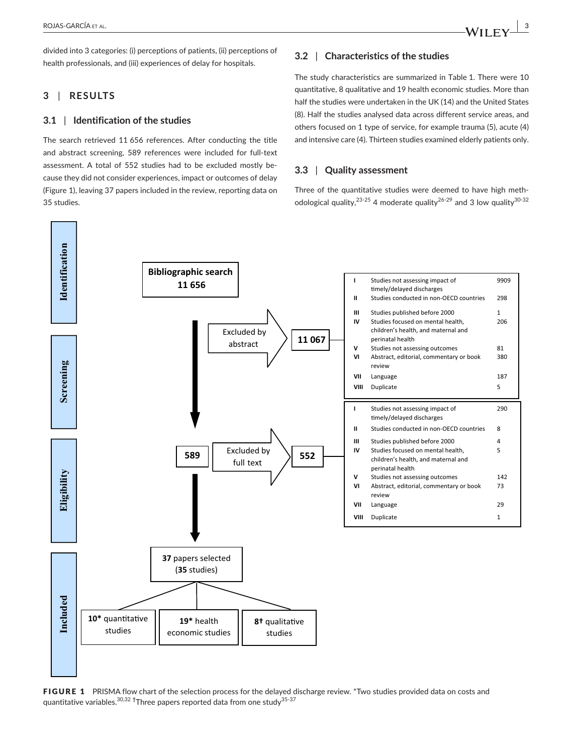divided into 3 categories: (i) perceptions of patients, (ii) perceptions of health professionals, and (iii) experiences of delay for hospitals.

# **3** | **RESULTS**

#### **3.1** | **Identification of the studies**

The search retrieved 11 656 references. After conducting the title and abstract screening, 589 references were included for full-text assessment. A total of 552 studies had to be excluded mostly because they did not consider experiences, impact or outcomes of delay (Figure 1), leaving 37 papers included in the review, reporting data on 35 studies.

# **3.2** | **Characteristics of the studies**

The study characteristics are summarized in Table 1. There were 10 quantitative, 8 qualitative and 19 health economic studies. More than half the studies were undertaken in the UK (14) and the United States (8). Half the studies analysed data across different service areas, and others focused on 1 type of service, for example trauma (5), acute (4) and intensive care (4). Thirteen studies examined elderly patients only.

#### **3.3** | **Quality assessment**

Three of the quantitative studies were deemed to have high methodological quality,<sup>23-25</sup> 4 moderate quality<sup>26-29</sup> and 3 low quality<sup>30-32</sup>



FIGURE 1 PRISMA flow chart of the selection process for the delayed discharge review. \*Two studies provided data on costs and quantitative variables.30,32 **†** Three papers reported data from one study35-37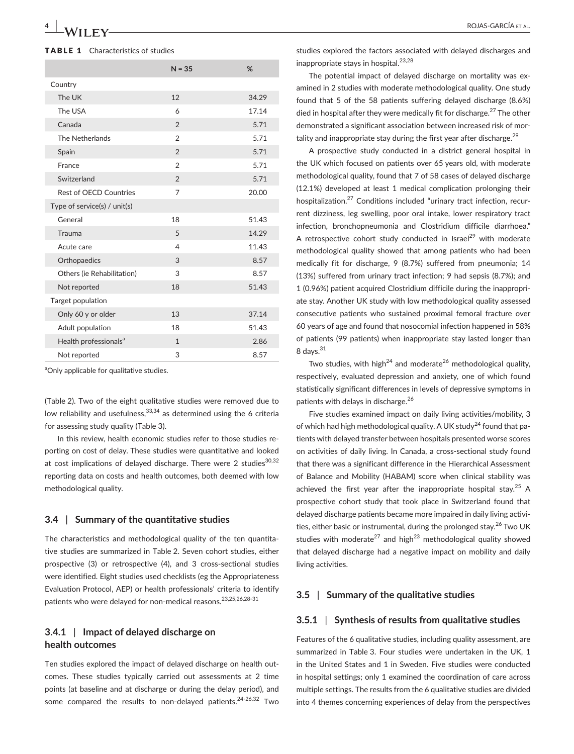#### TABLE 1 Characteristics of studies

|                                   | $N = 35$       | %     |
|-----------------------------------|----------------|-------|
| Country                           |                |       |
| The UK                            | 12             | 34.29 |
| The USA                           | 6              | 17.14 |
| Canada                            | $\overline{2}$ | 5.71  |
| The Netherlands                   | $\overline{2}$ | 5.71  |
| Spain                             | $\mathfrak{D}$ | 5.71  |
| France                            | $\mathfrak{D}$ | 5.71  |
| Switzerland                       | $\overline{2}$ | 5.71  |
| Rest of OECD Countries            | $\overline{7}$ | 20.00 |
| Type of service(s) / unit(s)      |                |       |
| General                           | 18             | 51.43 |
| Trauma                            | 5              | 14.29 |
| Acute care                        | 4              | 11.43 |
| Orthopaedics                      | 3              | 8.57  |
| Others (ie Rehabilitation)        | 3              | 8.57  |
| Not reported                      | 18             | 51.43 |
| Target population                 |                |       |
| Only 60 y or older                | 13             | 37.14 |
| Adult population                  | 18             | 51.43 |
| Health professionals <sup>a</sup> | $\mathbf{1}$   | 2.86  |
| Not reported                      | 3              | 8.57  |

<sup>a</sup>Only applicable for qualitative studies.

(Table 2). Two of the eight qualitative studies were removed due to low reliability and usefulness,  $33,34$  as determined using the 6 criteria for assessing study quality (Table 3).

In this review, health economic studies refer to those studies reporting on cost of delay. These studies were quantitative and looked at cost implications of delayed discharge. There were 2 studies $30,32$ reporting data on costs and health outcomes, both deemed with low methodological quality.

#### **3.4** | **Summary of the quantitative studies**

The characteristics and methodological quality of the ten quantitative studies are summarized in Table 2. Seven cohort studies, either prospective (3) or retrospective (4), and 3 cross-sectional studies were identified. Eight studies used checklists (eg the Appropriateness Evaluation Protocol, AEP) or health professionals' criteria to identify patients who were delayed for non-medical reasons.23,25,26,28-31

# **3.4.1** | **Impact of delayed discharge on health outcomes**

Ten studies explored the impact of delayed discharge on health outcomes. These studies typically carried out assessments at 2 time points (at baseline and at discharge or during the delay period), and some compared the results to non-delayed patients.<sup>24-26,32</sup> Two

studies explored the factors associated with delayed discharges and inappropriate stays in hospital.<sup>23,28</sup>

The potential impact of delayed discharge on mortality was examined in 2 studies with moderate methodological quality. One study found that 5 of the 58 patients suffering delayed discharge (8.6%) died in hospital after they were medically fit for discharge.<sup>27</sup> The other demonstrated a significant association between increased risk of mortality and inappropriate stay during the first year after discharge.  $2^9$ 

A prospective study conducted in a district general hospital in the UK which focused on patients over 65 years old, with moderate methodological quality, found that 7 of 58 cases of delayed discharge (12.1%) developed at least 1 medical complication prolonging their hospitalization.<sup>27</sup> Conditions included "urinary tract infection, recurrent dizziness, leg swelling, poor oral intake, lower respiratory tract infection, bronchopneumonia and Clostridium difficile diarrhoea." A retrospective cohort study conducted in Israel<sup>29</sup> with moderate methodological quality showed that among patients who had been medically fit for discharge, 9 (8.7%) suffered from pneumonia; 14 (13%) suffered from urinary tract infection; 9 had sepsis (8.7%); and 1 (0.96%) patient acquired Clostridium difficile during the inappropriate stay. Another UK study with low methodological quality assessed consecutive patients who sustained proximal femoral fracture over 60 years of age and found that nosocomial infection happened in 58% of patients (99 patients) when inappropriate stay lasted longer than  $8$  days. $^{31}$ 

Two studies, with high<sup>24</sup> and moderate<sup>26</sup> methodological quality, respectively, evaluated depression and anxiety, one of which found statistically significant differences in levels of depressive symptoms in patients with delays in discharge.<sup>26</sup>

Five studies examined impact on daily living activities/mobility, 3 of which had high methodological quality. A UK study<sup>24</sup> found that patients with delayed transfer between hospitals presented worse scores on activities of daily living. In Canada, a cross-sectional study found that there was a significant difference in the Hierarchical Assessment of Balance and Mobility (HABAM) score when clinical stability was achieved the first year after the inappropriate hospital stay.<sup>25</sup> A prospective cohort study that took place in Switzerland found that delayed discharge patients became more impaired in daily living activities, either basic or instrumental, during the prolonged stay.<sup>26</sup> Two UK studies with moderate<sup>27</sup> and high<sup>23</sup> methodological quality showed that delayed discharge had a negative impact on mobility and daily living activities.

#### **3.5** | **Summary of the qualitative studies**

#### **3.5.1** | **Synthesis of results from qualitative studies**

Features of the 6 qualitative studies, including quality assessment, are summarized in Table 3. Four studies were undertaken in the UK, 1 in the United States and 1 in Sweden. Five studies were conducted in hospital settings; only 1 examined the coordination of care across multiple settings. The results from the 6 qualitative studies are divided into 4 themes concerning experiences of delay from the perspectives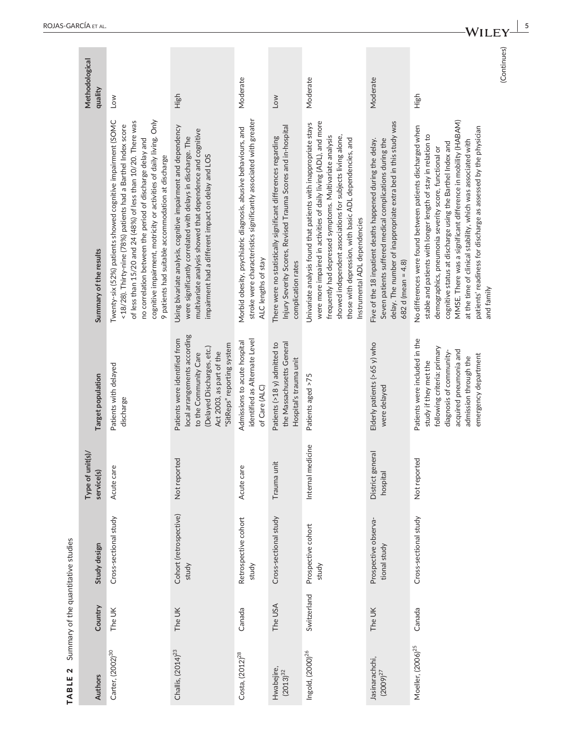| $+1$    |
|---------|
| ot the  |
|         |
| Summarv |
| ¢       |
| í       |

|                                     | Methodological                      |                                                                                                                                                                                                                                                                                                                                                                                        |                                                                                                                                                                                                                                                  |                                                                                                                                                            |                                                                                                                                                      |                                                                                                                                                                                                                                                                                                                                                            |                                                                                                                                                                                                                     |                                                                                                                                                                                                                                                                                                                                                                                                                                                                   | (Continues) |
|-------------------------------------|-------------------------------------|----------------------------------------------------------------------------------------------------------------------------------------------------------------------------------------------------------------------------------------------------------------------------------------------------------------------------------------------------------------------------------------|--------------------------------------------------------------------------------------------------------------------------------------------------------------------------------------------------------------------------------------------------|------------------------------------------------------------------------------------------------------------------------------------------------------------|------------------------------------------------------------------------------------------------------------------------------------------------------|------------------------------------------------------------------------------------------------------------------------------------------------------------------------------------------------------------------------------------------------------------------------------------------------------------------------------------------------------------|---------------------------------------------------------------------------------------------------------------------------------------------------------------------------------------------------------------------|-------------------------------------------------------------------------------------------------------------------------------------------------------------------------------------------------------------------------------------------------------------------------------------------------------------------------------------------------------------------------------------------------------------------------------------------------------------------|-------------|
|                                     | quality                             | Low                                                                                                                                                                                                                                                                                                                                                                                    | High                                                                                                                                                                                                                                             | Moderate                                                                                                                                                   | Low                                                                                                                                                  | Moderate                                                                                                                                                                                                                                                                                                                                                   | Moderate                                                                                                                                                                                                            | High                                                                                                                                                                                                                                                                                                                                                                                                                                                              |             |
|                                     | Summary of the results              | cognitive impairment, motricity or activities of daily living. Only<br>Twenty-six (52%) patients showed cognitive impairment (SOMC<br>of less than 15/20 and 24 (48%) of less than 10/20. There was<br><18/28). Thirty-nine (78%) patients had a Barthel Index score<br>no correlation between the period of discharge delay and<br>9 patients had suitable accommodation at discharge | Using bivariate analysis, cognitive impairment and dependency<br>multivariate analysis showed that dependence and cognitive<br>were significantly correlated with delays in discharge. The<br>impairment had a different impact on delay and LOS | stroke were characteristics significantly associated with greater<br>Morbid obesity, psychiatric diagnosis, abusive behaviours, and<br>ALC lengths of stay | Injury Severity Scores, Revised Trauma Scores and in-hospital<br>There were no statistically significant differences regarding<br>complication rates | were more impaired in activities of daily living (ADL), and more<br>Univariate analysis found that patients with inappropriate stays<br>showed independent associations for subjects living alone,<br>frequently had depressed symptoms. Multivariate analysis<br>those with depression, with basic ADL dependencies, and<br>Instrumental ADL dependencies | delay. The number of inappropriate extra bed in this study was<br>Seven patients suffered medical complications during the<br>Five of the 18 inpatient deaths happened during the delay.<br>$682$ d (mean = $4.8$ ) | MMSE. There was a significant difference in mobility (HABAM)<br>No differences were found between patients discharged when<br>patients' readiness for discharge as assessed by the physician<br>stable and patients with longer length of stay in relation to<br>at the time of clinical stability, which was associated with<br>cognitive status at discharge using the Barthel Index and<br>demographics, pneumonia severity score, functional or<br>and family |             |
|                                     | Target population                   | Patients with delayed<br>discharge                                                                                                                                                                                                                                                                                                                                                     | local arrangements according<br>Patients were identified from<br>"SitReps" reporting system<br>(Delayed Discharges, etc.)<br>Act 2003, as part of the<br>to the Community Care                                                                   | identified as Alternate Level<br>Admissions to acute hospital<br>of Care (ALC)                                                                             | the Massachusetts General<br>Patients (>18 y) admitted to<br>Hospital's trauma unit                                                                  | Patients aged >75                                                                                                                                                                                                                                                                                                                                          | Elderly patients (>65 y) who<br>were delayed                                                                                                                                                                        | Patients were included in the<br>following criteria: primary<br>acquired pneumonia and<br>diagnosis of community-<br>emergency department<br>admission through the<br>study if they met the                                                                                                                                                                                                                                                                       |             |
|                                     | of unit(s)/<br>service(s)<br>Type o | care<br>Acute                                                                                                                                                                                                                                                                                                                                                                          | Not reported                                                                                                                                                                                                                                     | care<br>Acute                                                                                                                                              | Trauma unit                                                                                                                                          | al medicine<br>Intern                                                                                                                                                                                                                                                                                                                                      | District general<br>hospital                                                                                                                                                                                        | Not reported                                                                                                                                                                                                                                                                                                                                                                                                                                                      |             |
| Summary of the quantitative studies | Study design                        | Cross-sectional study                                                                                                                                                                                                                                                                                                                                                                  | Cohort (retrospective)<br>study                                                                                                                                                                                                                  | Retrospective cohort<br>study                                                                                                                              | Cross-sectional study                                                                                                                                | Prospective cohort<br>study                                                                                                                                                                                                                                                                                                                                | Prospective observa-<br>tional study                                                                                                                                                                                | Cross-sectional study                                                                                                                                                                                                                                                                                                                                                                                                                                             |             |
|                                     | Country                             | The UK                                                                                                                                                                                                                                                                                                                                                                                 | The UK                                                                                                                                                                                                                                           | Canada                                                                                                                                                     | The USA                                                                                                                                              | Switzerland                                                                                                                                                                                                                                                                                                                                                | The UK                                                                                                                                                                                                              | Canada                                                                                                                                                                                                                                                                                                                                                                                                                                                            |             |
| $\mathbf{\Omega}$<br>TABLE          | Authors                             | Carter, (2002) <sup>30</sup>                                                                                                                                                                                                                                                                                                                                                           | Challis, (2014) <sup>23</sup>                                                                                                                                                                                                                    | Costa, $(2012)^{28}$                                                                                                                                       | Hwabejire,<br>$(2013)^{32}$                                                                                                                          | Ingold, (2000) <sup>26</sup>                                                                                                                                                                                                                                                                                                                               | Jasinarachchi,<br>$(2009)^{27}$                                                                                                                                                                                     | Moeller, (2006) <sup>25</sup>                                                                                                                                                                                                                                                                                                                                                                                                                                     |             |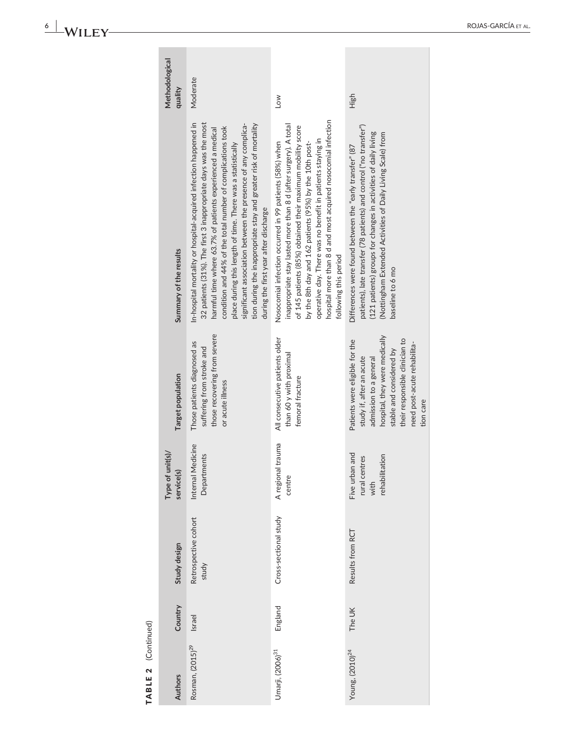6 | WILEY-

| TABLE 2 (Continued) |                               |                                                           |                                                                                                                                                                                                                                 |                                                                                                                                                                                                                                                                                                                                                                                                                                                                                                              |                           |
|---------------------|-------------------------------|-----------------------------------------------------------|---------------------------------------------------------------------------------------------------------------------------------------------------------------------------------------------------------------------------------|--------------------------------------------------------------------------------------------------------------------------------------------------------------------------------------------------------------------------------------------------------------------------------------------------------------------------------------------------------------------------------------------------------------------------------------------------------------------------------------------------------------|---------------------------|
| Country             | Study design                  | Type of unit(s)/<br>service(s)                            | Target population                                                                                                                                                                                                               | Summary of the results                                                                                                                                                                                                                                                                                                                                                                                                                                                                                       | Methodological<br>quality |
| Israel              | Retrospective cohort<br>study | Internal Medicine<br>Departments                          | those recovering from severe<br>Those patients diagnosed as<br>suffering from stroke and<br>or acute illness                                                                                                                    | In-hospital mortality or hospital-acquired infection happened in<br>32 patients (31%). The first 3 inappropriate days was the most<br>tion during the inappropriate stay and greater risk of mortality<br>significant association between the presence of any complica-<br>condition and 44% of the total number of complications took<br>harmful time where 63.7% of patients experienced a medical<br>place during this length of time. There was a statistically<br>during the first year after discharge | Moderate                  |
| England             | Cross-sectional study         | A regional trauma<br>centre                               | All consecutive patients older<br>than 60 y with proximal<br>femoral fracture                                                                                                                                                   | hospital more than 8 d and most acquired nosocomial infection<br>inappropriate stay lasted more than 8 d (after surgery). A total<br>of 145 patients (85%) obtained their maximum mobility score<br>operative day. There was no benefit in patients staying in<br>Nosocomial infection occurred in 99 patients (58%) when<br>by the 8th day and 162 patients (95%) by the 10th post-<br>following this period                                                                                                | Low                       |
| The UK              | Results from RCT              | Five urban and<br>rehabilitation<br>rural centres<br>with | hospital, they were medically<br>their responsible clinician to<br>Patients were eligible for the<br>need post-acute rehabilita-<br>stable and considered by<br>study if, after an acute<br>admission to a general<br>tion care | patients), late transfer (78 patients) and control ("no transfer")<br>(121 patients) groups for changes in activities of daily living<br>(Nottingham Extended Activities of Daily Living Scale) from<br>Differences were found between the "early transfer" (87<br>baseline to 6 mo                                                                                                                                                                                                                          | High                      |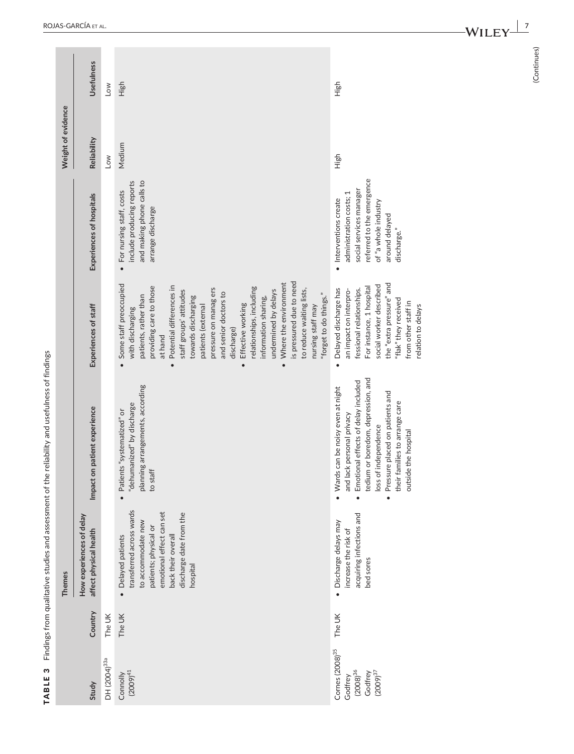|           | <b>Themes</b>                                                                                                                                                                         |                                                                                                                                                                                                                                                                                   |                                                                                                                                                                                                                                                                                                                                                                                                                                                                                                                             |                                                                                                                                                                  | Weight of evidence |            |
|-----------|---------------------------------------------------------------------------------------------------------------------------------------------------------------------------------------|-----------------------------------------------------------------------------------------------------------------------------------------------------------------------------------------------------------------------------------------------------------------------------------|-----------------------------------------------------------------------------------------------------------------------------------------------------------------------------------------------------------------------------------------------------------------------------------------------------------------------------------------------------------------------------------------------------------------------------------------------------------------------------------------------------------------------------|------------------------------------------------------------------------------------------------------------------------------------------------------------------|--------------------|------------|
|           | How experiences of delay<br>affect physical health                                                                                                                                    | Impact on patient experience                                                                                                                                                                                                                                                      | Experiences of staff                                                                                                                                                                                                                                                                                                                                                                                                                                                                                                        | Experiences of hospitals                                                                                                                                         | Reliability        | Usefulness |
|           |                                                                                                                                                                                       |                                                                                                                                                                                                                                                                                   |                                                                                                                                                                                                                                                                                                                                                                                                                                                                                                                             |                                                                                                                                                                  | Low                | <b>No7</b> |
|           | transferred across wards<br>emotional effect can set<br>discharge date from the<br>to accommodate new<br>patients; physical or<br>• Delayed patients<br>back their overal<br>hospital | planning arrangements, according<br>"dehumanized" by discharge<br>Patients "systematized" or<br>to staff                                                                                                                                                                          | is pressured due to need<br>Where the environment<br>Some staff preoccupied<br>providing care to those<br>Potential differences in<br>relationships, including<br>pressure on manag ers<br>to reduce waiting lists,<br>undermined by delays<br>staff groups' attitudes<br>and senior doctors to<br>"forget to do things."<br>patients, rather than<br>towards discharging<br>information sharing,<br>Effective working<br>nursing staff may<br>patients (external<br>with discharging<br>discharge)<br>at hand<br>$\bullet$ | include producing reports<br>and making phone calls to<br>For nursing staff, costs<br>arrange discharge                                                          | Medium             | High       |
| $\bullet$ | acquiring infections and<br>Discharge delays may<br>increase the risk of<br>bed sores                                                                                                 | tedium or boredom, depression, and<br>Emotional effects of delay included<br>• Wards can be noisy even at night<br>Pressure placed on patients and<br>families to arrange care<br>and lack personal privacy<br>loss of independence<br>outside the hospital<br>their<br>$\bullet$ | the "extra pressure" and<br>social worker described<br>For instance, 1 hospital<br>Delayed discharge has<br>fessional relationships.<br>an impact on interpro-<br>"flak" they received<br>from other staff in<br>relation to delays<br>$\bullet$                                                                                                                                                                                                                                                                            | referred to the emergence<br>social services manager<br>administration costs; 1<br>Interventions create<br>of "a whole industry<br>around delayed<br>discharge." | High               | High       |

(Continues) (Continues)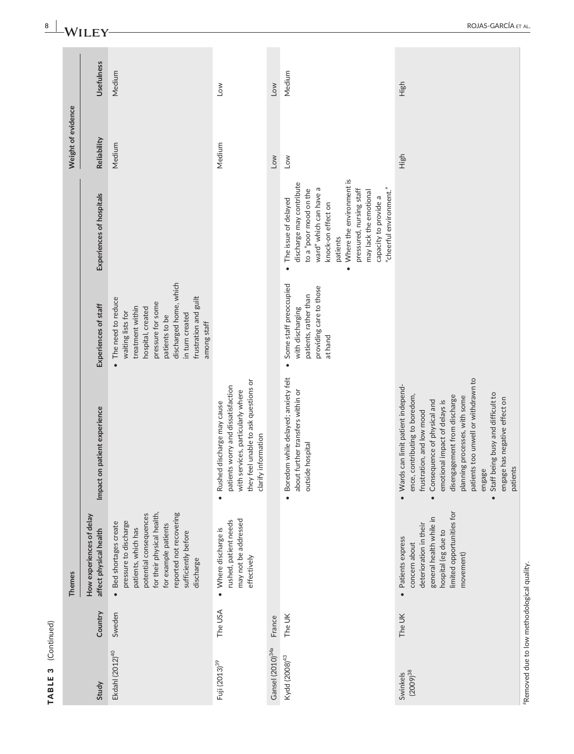| S<br><b>TABLE</b>            | (Continued) |                                                                                                                                                                                                                     |                                                                                                                                                                                                                                                                                                                                                                           |                                                                                                                                                                                                                |                                                                                                                                                                                                                                                                                             |                    |            |
|------------------------------|-------------|---------------------------------------------------------------------------------------------------------------------------------------------------------------------------------------------------------------------|---------------------------------------------------------------------------------------------------------------------------------------------------------------------------------------------------------------------------------------------------------------------------------------------------------------------------------------------------------------------------|----------------------------------------------------------------------------------------------------------------------------------------------------------------------------------------------------------------|---------------------------------------------------------------------------------------------------------------------------------------------------------------------------------------------------------------------------------------------------------------------------------------------|--------------------|------------|
|                              |             | <b>Themes</b>                                                                                                                                                                                                       |                                                                                                                                                                                                                                                                                                                                                                           |                                                                                                                                                                                                                |                                                                                                                                                                                                                                                                                             | Weight of evidence |            |
| Study                        | Country     | How experiences of delay<br>affect physical health                                                                                                                                                                  | Impact on patient experience                                                                                                                                                                                                                                                                                                                                              | Experiences of staff                                                                                                                                                                                           | Experiences of hospitals                                                                                                                                                                                                                                                                    | Reliability        | Usefulness |
| Ekdahl (2012) <sup>40</sup>  | Sweden      | reported not recovering<br>for their physical health,<br>potential consequences<br>pressure to discharge<br>Bed shortages create<br>for example patients<br>patients, which has<br>sufficiently before<br>discharge |                                                                                                                                                                                                                                                                                                                                                                           | discharged home, which<br>frustration and guilt<br>• The need to reduce<br>pressure for some<br>treatment within<br>hospital, created<br>waiting lists for<br>in turn created<br>patients to be<br>among staff |                                                                                                                                                                                                                                                                                             | Medium             | Medium     |
| Fuji (2013) <sup>39</sup>    | The USA     | may not be addressed<br>rushed, patient needs<br>• Where discharge is<br>effectively                                                                                                                                | they feel unable to ask questions or<br>patients worry and dissatisfaction<br>with services, particularly where<br>Rushed discharge may cause<br>clarify information                                                                                                                                                                                                      |                                                                                                                                                                                                                |                                                                                                                                                                                                                                                                                             | Medium             | <b>No7</b> |
| Gansel (2010) <sup>34a</sup> | France      |                                                                                                                                                                                                                     |                                                                                                                                                                                                                                                                                                                                                                           |                                                                                                                                                                                                                |                                                                                                                                                                                                                                                                                             | Low                | Low        |
| Kydd (2008) <sup>43</sup>    | The UK      |                                                                                                                                                                                                                     | · Boredom while delayed; anxiety felt<br>about further transfers within or<br>le hospital<br>outsid                                                                                                                                                                                                                                                                       | Some staff preoccupied<br>providing care to those<br>patients, rather than<br>with discharging<br>at hand<br>$\bullet$                                                                                         | Where the environment is<br>discharge may contribute<br>"cheerful environment."<br>ward" which can have a<br>to a "poor mood on the<br>pressured, nursing staff<br>may lack the emotional<br>capacity to provide a<br>• The issue of delayed<br>knock-on effect on<br>patients<br>$\bullet$ | <b>No7</b>         | Medium     |
| $(2009)^{38}$<br>Swinkels    | The UK      | limited opportunities for<br>general health while in<br>deterioration in their<br>hospital (eg due to<br>· Patients express<br>concern about<br>movement)                                                           | patients too unwell or withdrawn to<br>· Wards can limit patient independ-<br>Staff being busy and difficult to<br>disengagement from discharge<br>contributing to boredom,<br>planning processes, with some<br>engage has negative effect on<br>emotional impact of delays is<br>Consequence of physical and<br>frustration, and low mood<br>patients<br>engage<br>ence, |                                                                                                                                                                                                                |                                                                                                                                                                                                                                                                                             | High               | High       |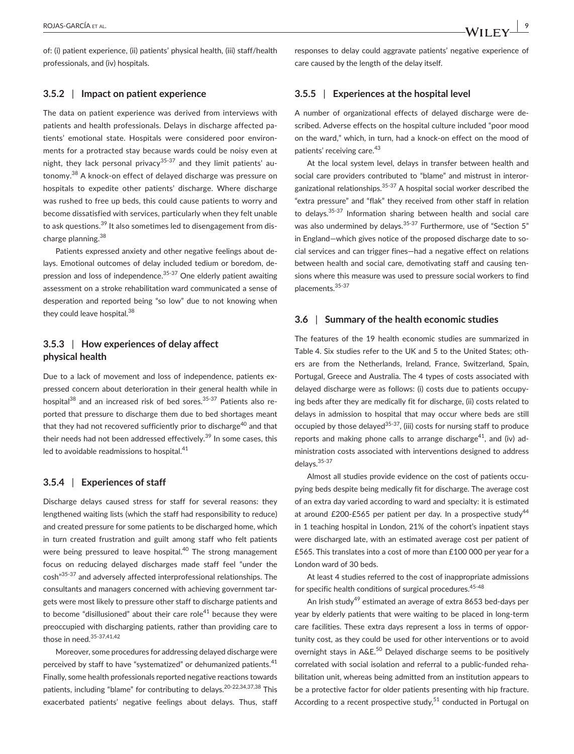of: (i) patient experience, (ii) patients' physical health, (iii) staff/health professionals, and (iv) hospitals.

#### **3.5.2** | **Impact on patient experience**

The data on patient experience was derived from interviews with patients and health professionals. Delays in discharge affected patients' emotional state. Hospitals were considered poor environments for a protracted stay because wards could be noisy even at night, they lack personal privacy<sup>35-37</sup> and they limit patients' autonomy.38 A knock-on effect of delayed discharge was pressure on hospitals to expedite other patients' discharge. Where discharge was rushed to free up beds, this could cause patients to worry and become dissatisfied with services, particularly when they felt unable to ask questions.<sup>39</sup> It also sometimes led to disengagement from discharge planning.<sup>38</sup>

Patients expressed anxiety and other negative feelings about delays. Emotional outcomes of delay included tedium or boredom, depression and loss of independence.<sup>35-37</sup> One elderly patient awaiting assessment on a stroke rehabilitation ward communicated a sense of desperation and reported being "so low" due to not knowing when they could leave hospital.<sup>38</sup>

# **3.5.3** | **How experiences of delay affect physical health**

Due to a lack of movement and loss of independence, patients expressed concern about deterioration in their general health while in hospital $^{38}$  and an increased risk of bed sores.<sup>35-37</sup> Patients also reported that pressure to discharge them due to bed shortages meant that they had not recovered sufficiently prior to discharge<sup>40</sup> and that their needs had not been addressed effectively.<sup>39</sup> In some cases, this led to avoidable readmissions to hospital.<sup>41</sup>

#### **3.5.4** | **Experiences of staff**

Discharge delays caused stress for staff for several reasons: they lengthened waiting lists (which the staff had responsibility to reduce) and created pressure for some patients to be discharged home, which in turn created frustration and guilt among staff who felt patients were being pressured to leave hospital.<sup>40</sup> The strong management focus on reducing delayed discharges made staff feel "under the cosh"35-37 and adversely affected interprofessional relationships. The consultants and managers concerned with achieving government targets were most likely to pressure other staff to discharge patients and to become "disillusioned" about their care role $41$  because they were preoccupied with discharging patients, rather than providing care to those in need.35-37,41,42

Moreover, some procedures for addressing delayed discharge were perceived by staff to have "systematized" or dehumanized patients.<sup>41</sup> Finally, some health professionals reported negative reactions towards patients, including "blame" for contributing to delays.<sup>20-22,34,37,38</sup> This exacerbated patients' negative feelings about delays. Thus, staff responses to delay could aggravate patients' negative experience of care caused by the length of the delay itself.

#### **3.5.5** | **Experiences at the hospital level**

A number of organizational effects of delayed discharge were described. Adverse effects on the hospital culture included "poor mood on the ward," which, in turn, had a knock-on effect on the mood of patients' receiving care.<sup>43</sup>

At the local system level, delays in transfer between health and social care providers contributed to "blame" and mistrust in interorganizational relationships.35-37 A hospital social worker described the "extra pressure" and "flak" they received from other staff in relation to delays.35-37 Information sharing between health and social care was also undermined by delays.<sup>35-37</sup> Furthermore, use of "Section 5" in England—which gives notice of the proposed discharge date to social services and can trigger fines—had a negative effect on relations between health and social care, demotivating staff and causing tensions where this measure was used to pressure social workers to find placements.35-37

#### **3.6** | **Summary of the health economic studies**

The features of the 19 health economic studies are summarized in Table 4. Six studies refer to the UK and 5 to the United States; others are from the Netherlands, Ireland, France, Switzerland, Spain, Portugal, Greece and Australia. The 4 types of costs associated with delayed discharge were as follows: (i) costs due to patients occupying beds after they are medically fit for discharge, (ii) costs related to delays in admission to hospital that may occur where beds are still occupied by those delayed<sup>35-37</sup>, (iii) costs for nursing staff to produce reports and making phone calls to arrange discharge<sup>41</sup>, and (iv) administration costs associated with interventions designed to address delays.35-37

Almost all studies provide evidence on the cost of patients occupying beds despite being medically fit for discharge. The average cost of an extra day varied according to ward and specialty: it is estimated at around £200-£565 per patient per day. In a prospective study<sup>44</sup> in 1 teaching hospital in London, 21% of the cohort's inpatient stays were discharged late, with an estimated average cost per patient of £565. This translates into a cost of more than £100 000 per year for a London ward of 30 beds.

At least 4 studies referred to the cost of inappropriate admissions for specific health conditions of surgical procedures.<sup>45-48</sup>

An Irish study<sup>49</sup> estimated an average of extra 8653 bed-days per year by elderly patients that were waiting to be placed in long-term care facilities. These extra days represent a loss in terms of opportunity cost, as they could be used for other interventions or to avoid overnight stays in A&E.<sup>50</sup> Delayed discharge seems to be positively correlated with social isolation and referral to a public-funded rehabilitation unit, whereas being admitted from an institution appears to be a protective factor for older patients presenting with hip fracture. According to a recent prospective study,<sup>51</sup> conducted in Portugal on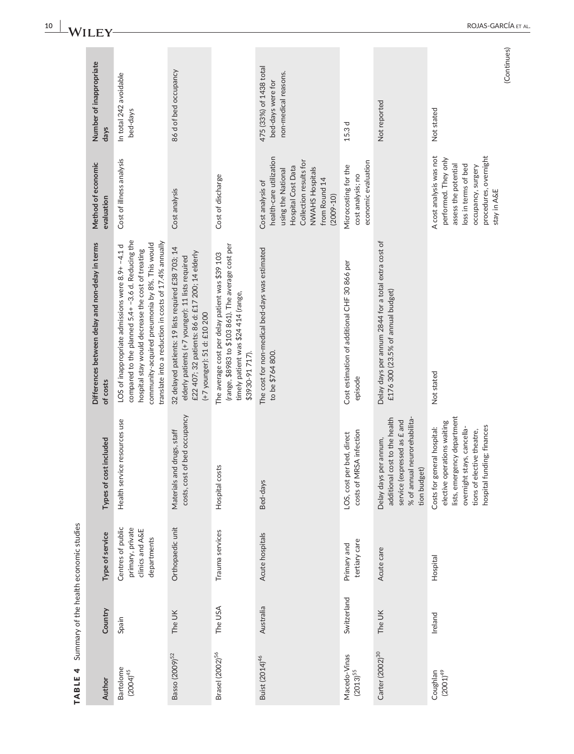| Author                        | Country     | Type of service                                                         | Types of cost included                                                                                                                                                                      | Differences between delay and non-delay in terms<br>of costs                                                                                                                                                                                                         | Method of economic<br>evaluation                                                                                                                                       | Number of inappropriate<br>days                                      |
|-------------------------------|-------------|-------------------------------------------------------------------------|---------------------------------------------------------------------------------------------------------------------------------------------------------------------------------------------|----------------------------------------------------------------------------------------------------------------------------------------------------------------------------------------------------------------------------------------------------------------------|------------------------------------------------------------------------------------------------------------------------------------------------------------------------|----------------------------------------------------------------------|
| Bartolome<br>$(2004)^{45}$    | Spain       | Centres of public<br>primary, private<br>clinics and A&E<br>departments | Health service resources use                                                                                                                                                                | compared to the planned 5.4+-3.6 d. Reducing the<br>translate into a reduction in costs of 17.4% annually<br>community-acquired pneumonia by 8%. This would<br>LOS of inappropriate admissions were 8.9+ -4.1 d<br>hospital stay would decrease the cost of treating | Cost of illness analysis                                                                                                                                               | In total 242 avoidable<br>bed-days                                   |
| Basso (2009) <sup>52</sup>    | The UK      | Orthopaedic unit                                                        | costs, cost of bed occupancy<br>Materials and drugs, staff                                                                                                                                  | 32 delayed patients: 19 lists required £38 703; 14<br>£22 407; 32 patients: 86 d: £17 200; 14 elderly<br>elderly patients (+7 younger): 11 lists required<br>(+7 younger): 51 d: £10 200                                                                             | Cost analysis                                                                                                                                                          | 86 d of bed occupancy                                                |
| Brasel (2002) <sup>56</sup>   | The USA     | Trauma services                                                         | Hospital costs                                                                                                                                                                              | (range, \$8983 to \$103 861). The average cost per<br>The average cost per delay patient was \$39 103<br>timely patient was \$24 414 (range,<br>\$3930-91717).                                                                                                       | Cost of discharge                                                                                                                                                      |                                                                      |
| Buist (2014) <sup>46</sup>    | Australia   | Acute hospitals                                                         | Bed-days                                                                                                                                                                                    | The cost for non-medical bed-days was estimated<br>to be \$764 800.                                                                                                                                                                                                  | health-care utilization<br>Collection results for<br>Hospital Cost Data<br>NWAHS Hospitals<br>using the National<br>from Round 14<br>Cost analysis of<br>$(2009 - 10)$ | 475 (33%) of 1438 total<br>non-medical reasons.<br>bed-days were for |
| Macedo-Vinas<br>$(2013)^{55}$ | Switzerland | tertiary care<br>Primary and                                            | costs of MRSA infection<br>LOS, cost per bed, direct                                                                                                                                        | Cost estimation of additional CHF 30 866 per<br>episode                                                                                                                                                                                                              | economic evaluation<br>Microcosting for the<br>cost analysis; no                                                                                                       | 15.3 d                                                               |
| Carter (2002) <sup>30</sup>   | The UK      | Acute care                                                              | cost to the health<br>% of annual neurorehabilita-<br>service (expressed as £ and<br>Delay days per annum,<br>tion budget)<br>additional                                                    | Delay days per annum 2844 for a total extra cost of<br>£176 300 (23.5% of annual budget)                                                                                                                                                                             |                                                                                                                                                                        | Not reported                                                         |
| $\frac{1}{2}$ Coughlan        | Ireland     | Hospital                                                                | rgency department<br>elective operations waiting<br>hospital funding; finances<br>Costs for general hospital:<br>stays, cancella-<br>tions of elective theatre,<br>lists, emer<br>overnight | Not stated                                                                                                                                                                                                                                                           | procedures, overnight<br>A cost analysis was not<br>performed. They only<br>assess the potential<br>loss in terms of bed<br>occupancy, surgery<br>stay in A&E          | Not stated                                                           |
|                               |             |                                                                         |                                                                                                                                                                                             |                                                                                                                                                                                                                                                                      |                                                                                                                                                                        | (Continues)                                                          |

TABLE 4 Summary of the health economic studies TABLE 4 Summary of the health economic studies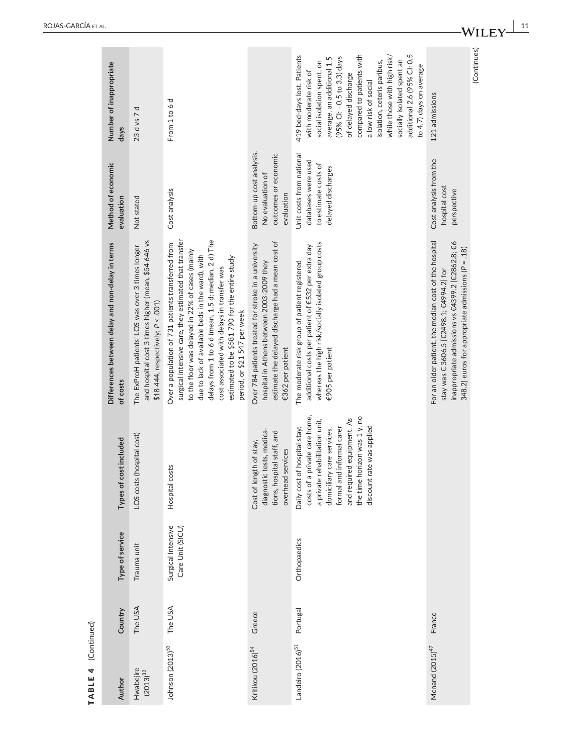| Hospital costs                            |                     | Number of inappropriate<br>days<br>Method of economic<br>evaluation<br>Differences between delay and non-delay in terms<br>of costs<br>cost included | 23 d vs 7 d<br>Not stated<br>and hospital cost 3 times higher (mean, \$54 646 vs<br>The ExProH patients' LOS was over 3 times longer<br>\$18 444, respectively; P < .001)<br>LOS costs (hospital cost) | From 1 to 6 d<br>Cost analysis<br>surgical intensive care, they estimated that transfer<br>Over a population of 731 patients transferred from | delays from 1 to 6 d (mean, 1.5 d; median, 2 d) The<br>due to lack of available beds in the ward), with<br>estimated to be \$581 790 for the entire study<br>cost associated with delays in transfer was<br>period, or \$21 547 per week | Bottom-up cost analysis.<br>outcomes or economic<br>No evaluation of<br>evaluation<br>estimate the delayed discharge had a mean cost of<br>Over 784 patients treated for stroke in a university<br>hospital in Athens between 2003-2009 they<br>€362 per patient<br>diagnostic tests, medica-<br>tions, hospital staff, and<br>Cost of length of stay,<br>overhead services | compared to patients with<br>additional 2.6 (95% CI: 0.5<br>while those with high risk/<br>419 bed-days lost. Patients<br>(95% CI: -0.5 to 3.3) days<br>average, an additional 1.5<br>socially isolated spent an<br>isolation, ceteris paribus,<br>social isolation spent, on<br>to 4.7) days on average<br>with moderate risk of<br>of delayed discharge<br>a low risk of social<br>Unit costs from national<br>databases were used<br>to estimate costs of<br>delayed discharges<br>whereas the high risk/socially isolated group costs<br>additional costs per patient of €532 per extra day<br>The moderate risk group of patient registered<br>€905 per patient<br>costs of a private care home,<br>the time horizon was 1 y, no<br>and required equipment. As<br>a private rehabilitation unit,<br>Daily cost of hospital stay;<br>formal and informal carer<br>discount rate was applied<br>domiciliary care services, |
|-------------------------------------------|---------------------|------------------------------------------------------------------------------------------------------------------------------------------------------|--------------------------------------------------------------------------------------------------------------------------------------------------------------------------------------------------------|-----------------------------------------------------------------------------------------------------------------------------------------------|------------------------------------------------------------------------------------------------------------------------------------------------------------------------------------------------------------------------------------------|-----------------------------------------------------------------------------------------------------------------------------------------------------------------------------------------------------------------------------------------------------------------------------------------------------------------------------------------------------------------------------|-------------------------------------------------------------------------------------------------------------------------------------------------------------------------------------------------------------------------------------------------------------------------------------------------------------------------------------------------------------------------------------------------------------------------------------------------------------------------------------------------------------------------------------------------------------------------------------------------------------------------------------------------------------------------------------------------------------------------------------------------------------------------------------------------------------------------------------------------------------------------------------------------------------------------------|
|                                           |                     |                                                                                                                                                      |                                                                                                                                                                                                        | to the floor was delayed in 22% of cases (mainly                                                                                              |                                                                                                                                                                                                                                          |                                                                                                                                                                                                                                                                                                                                                                             |                                                                                                                                                                                                                                                                                                                                                                                                                                                                                                                                                                                                                                                                                                                                                                                                                                                                                                                               |
|                                           |                     | Type of service                                                                                                                                      | Trauma unit                                                                                                                                                                                            | Surgical Intensive<br>Care Unit (SICU)                                                                                                        |                                                                                                                                                                                                                                          | Orthopaedics                                                                                                                                                                                                                                                                                                                                                                |                                                                                                                                                                                                                                                                                                                                                                                                                                                                                                                                                                                                                                                                                                                                                                                                                                                                                                                               |
|                                           |                     |                                                                                                                                                      |                                                                                                                                                                                                        |                                                                                                                                               | Greece                                                                                                                                                                                                                                   |                                                                                                                                                                                                                                                                                                                                                                             |                                                                                                                                                                                                                                                                                                                                                                                                                                                                                                                                                                                                                                                                                                                                                                                                                                                                                                                               |
| The USA<br>The USA<br>Country<br>Portugal | TABLE 4 (Continued) | Author                                                                                                                                               | Hwabejire<br>$(2013)^{32}$                                                                                                                                                                             | Johnson (2013) <sup>53</sup>                                                                                                                  | Kritikou (2016) <sup>54</sup>                                                                                                                                                                                                            | Landeiro $(2016)^{51}$                                                                                                                                                                                                                                                                                                                                                      | Menand $(2015)^{47}$                                                                                                                                                                                                                                                                                                                                                                                                                                                                                                                                                                                                                                                                                                                                                                                                                                                                                                          |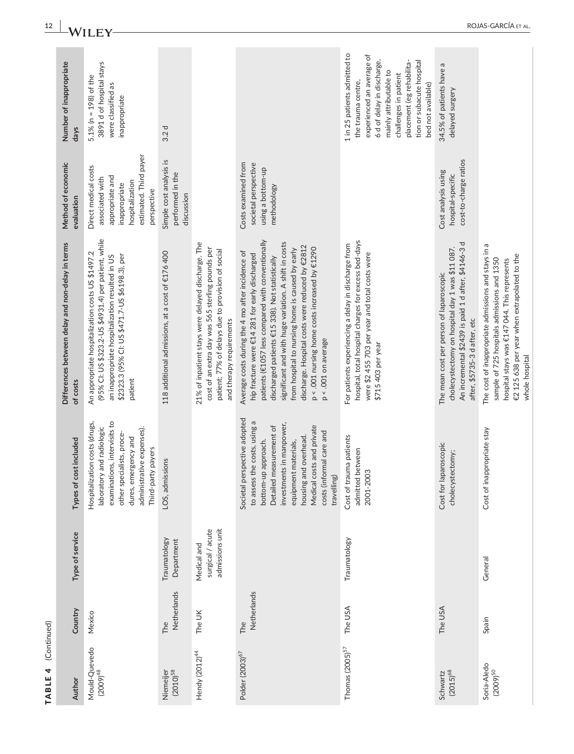| (Continued)<br>TABLE 4         |                    |                                                    |                                                                                                                                                                                                                                                                     |                                                                                                                                                                                                                                                                                                                                                                                                                                                       |                                                                                                                                         |                                                                                                                                                                                                                                                  |
|--------------------------------|--------------------|----------------------------------------------------|---------------------------------------------------------------------------------------------------------------------------------------------------------------------------------------------------------------------------------------------------------------------|-------------------------------------------------------------------------------------------------------------------------------------------------------------------------------------------------------------------------------------------------------------------------------------------------------------------------------------------------------------------------------------------------------------------------------------------------------|-----------------------------------------------------------------------------------------------------------------------------------------|--------------------------------------------------------------------------------------------------------------------------------------------------------------------------------------------------------------------------------------------------|
| Author                         | Country            | Type of service                                    | Types of cost included                                                                                                                                                                                                                                              | Differences between delay and non-delay in terms<br>of costs                                                                                                                                                                                                                                                                                                                                                                                          | Method of economic<br>evaluation                                                                                                        | Number of inappropriate<br>days                                                                                                                                                                                                                  |
| Mould-Quevedo<br>$(2009)^{48}$ | Mexico             |                                                    | examinations, intervisits to<br>Hospitalization costs (drugs,<br>laboratory and radiologic<br>administrative expenses).<br>other specialists, proce-<br>dures, emergency and<br>Third-party payers                                                                  | (95% CI: US \$323.2-US \$4931.4) per patient, while<br>An appropriate hospitalization costs US \$1497.2<br>\$2323.3 (95% Cl: US \$471.7-US \$6198.3), per<br>an inappropriate hospitalization resulted in US<br>patient                                                                                                                                                                                                                               | estimated. Third payer<br>Direct medical costs<br>appropriate and<br>associated with<br>hospitalization<br>inappropriate<br>perspective | 3891 d of hospital stays<br>5.1% ( $n = 198$ ) of the<br>were classified as<br>inappropriate                                                                                                                                                     |
| $(2010)^{58}$<br>Niemeijer     | Netherlands<br>The | Traumatology<br>Department                         | LOS, admissions                                                                                                                                                                                                                                                     | 118 additional admissions, at a cost of €176 400                                                                                                                                                                                                                                                                                                                                                                                                      | Simple cost analysis is<br>performed in the<br>discussion                                                                               | 3.2d                                                                                                                                                                                                                                             |
| Hendy (2012) <sup>44</sup>     | The UK             | surgical / acute<br>admissions unit<br>Medical and |                                                                                                                                                                                                                                                                     | 21% of inpatient stays were delayed discharge. The<br>cost of an extra day was 565 sterling pounds per<br>patient; 77% of delays due to provision of social<br>and therapy requirements                                                                                                                                                                                                                                                               |                                                                                                                                         |                                                                                                                                                                                                                                                  |
| Polder (2003) <sup>67</sup>    | Netherlands<br>The |                                                    | Societal perspective adopted<br>to assess the costs, using a<br>investments in manpower,<br>Detailed measurement of<br>Medical costs and private<br>costs (informal care and<br>housing and overhead.<br>bottom-up approach.<br>equipment materials,<br>travelling) | patients (€1057 less compared with conventionally<br>significant and with huge variation. A shift in costs<br>discharge. Hospital costs were reduced by €2812<br>p < .001 nursing home costs increased by €1290<br>from hospital to nursing home is caused by early<br>Average costs during the 4 mo after incidence of<br>hip fracture were €14 281 for early discharged<br>discharged patients €15 338). Not statistically<br>$p < .001$ on average | Costs examined from<br>societal perspective<br>using a bottom-up<br>methodology                                                         |                                                                                                                                                                                                                                                  |
| Thomas $(2005)^{57}$           | The USA            | Traumatology                                       | Cost of trauma patients<br>admitted between<br>2001-2003                                                                                                                                                                                                            | hospital, total hospital charges for excess bed-days<br>For patients experiencing a delay in discharge from<br>were \$2455703 per year and total costs were<br>\$715403 per year                                                                                                                                                                                                                                                                      |                                                                                                                                         | 1 in 25 patients admitted to<br>experienced an average of<br>6 d of delay in discharge,<br>placement (eg rehabilita-<br>tion or subacute hospital<br>mainly attributable to<br>challenges in patient<br>the trauma centre,<br>bed not available) |
| $(2015)^{68}$<br>Schwartz      | The USA            |                                                    | Cost for laparoscopic<br>cholecystectomy;                                                                                                                                                                                                                           | An incremental \$2439 is paid 1 d after, \$4146-3 d<br>cholecystectomy on hospital day 1 was \$11 087.<br>The mean cost per person of laparoscopic<br>after, \$5735-3 d after, etc                                                                                                                                                                                                                                                                    | cost-to-charge ratios<br>Cost analysis using<br>hospital-specific                                                                       | 34.5% of patients have a<br>delayed surgery                                                                                                                                                                                                      |
| Soria-Aledo<br>$(2009)^{50}$   | Spain              | General                                            | Cost of inappropriate stay                                                                                                                                                                                                                                          | The cost of inappropriate admissions and stays in a<br>€2 125 638 per year when extrapolated to the<br>sample of 725 hospitals admissions and 1350<br>hospital stays was €147 044. This represents<br>whole hospital                                                                                                                                                                                                                                  |                                                                                                                                         |                                                                                                                                                                                                                                                  |

# **12 |**  ROJAS-GARCÍA et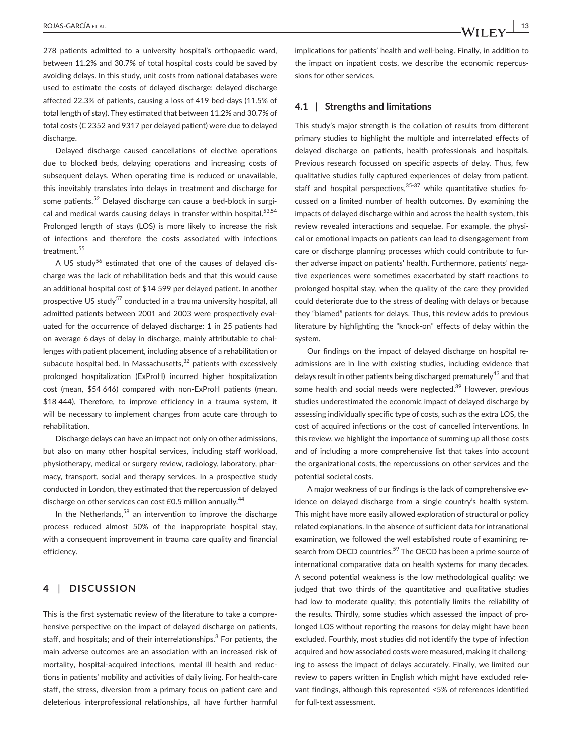278 patients admitted to a university hospital's orthopaedic ward, between 11.2% and 30.7% of total hospital costs could be saved by avoiding delays. In this study, unit costs from national databases were used to estimate the costs of delayed discharge: delayed discharge affected 22.3% of patients, causing a loss of 419 bed-days (11.5% of total length of stay). They estimated that between 11.2% and 30.7% of total costs (€ 2352 and 9317 per delayed patient) were due to delayed discharge.

Delayed discharge caused cancellations of elective operations due to blocked beds, delaying operations and increasing costs of subsequent delays. When operating time is reduced or unavailable. this inevitably translates into delays in treatment and discharge for some patients.<sup>52</sup> Delayed discharge can cause a bed-block in surgical and medical wards causing delays in transfer within hospital.<sup>53,54</sup> Prolonged length of stays (LOS) is more likely to increase the risk of infections and therefore the costs associated with infections treatment.<sup>55</sup>

A US study<sup>56</sup> estimated that one of the causes of delayed discharge was the lack of rehabilitation beds and that this would cause an additional hospital cost of \$14 599 per delayed patient. In another prospective US study<sup>57</sup> conducted in a trauma university hospital, all admitted patients between 2001 and 2003 were prospectively evaluated for the occurrence of delayed discharge: 1 in 25 patients had on average 6 days of delay in discharge, mainly attributable to challenges with patient placement, including absence of a rehabilitation or subacute hospital bed. In Massachusetts, $32$  patients with excessively prolonged hospitalization (ExProH) incurred higher hospitalization cost (mean, \$54 646) compared with non-ExProH patients (mean, \$18 444). Therefore, to improve efficiency in a trauma system, it will be necessary to implement changes from acute care through to rehabilitation.

Discharge delays can have an impact not only on other admissions, but also on many other hospital services, including staff workload, physiotherapy, medical or surgery review, radiology, laboratory, pharmacy, transport, social and therapy services. In a prospective study conducted in London, they estimated that the repercussion of delayed discharge on other services can cost £0.5 million annually.<sup>44</sup>

In the Netherlands,<sup>58</sup> an intervention to improve the discharge process reduced almost 50% of the inappropriate hospital stay, with a consequent improvement in trauma care quality and financial efficiency.

# **4** | **DISCUSSION**

This is the first systematic review of the literature to take a comprehensive perspective on the impact of delayed discharge on patients, staff, and hospitals; and of their interrelationships.<sup>3</sup> For patients, the main adverse outcomes are an association with an increased risk of mortality, hospital-acquired infections, mental ill health and reductions in patients' mobility and activities of daily living. For health-care staff, the stress, diversion from a primary focus on patient care and deleterious interprofessional relationships, all have further harmful

implications for patients' health and well-being. Finally, in addition to the impact on inpatient costs, we describe the economic repercussions for other services.

### **4.1** | **Strengths and limitations**

This study's major strength is the collation of results from different primary studies to highlight the multiple and interrelated effects of delayed discharge on patients, health professionals and hospitals. Previous research focussed on specific aspects of delay. Thus, few qualitative studies fully captured experiences of delay from patient, staff and hospital perspectives,  $35-37$  while quantitative studies focussed on a limited number of health outcomes. By examining the impacts of delayed discharge within and across the health system, this review revealed interactions and sequelae. For example, the physical or emotional impacts on patients can lead to disengagement from care or discharge planning processes which could contribute to further adverse impact on patients' health. Furthermore, patients' negative experiences were sometimes exacerbated by staff reactions to prolonged hospital stay, when the quality of the care they provided could deteriorate due to the stress of dealing with delays or because they "blamed" patients for delays. Thus, this review adds to previous literature by highlighting the "knock-on" effects of delay within the system.

Our findings on the impact of delayed discharge on hospital readmissions are in line with existing studies, including evidence that delays result in other patients being discharged prematurely<sup>43</sup> and that some health and social needs were neglected.<sup>39</sup> However, previous studies underestimated the economic impact of delayed discharge by assessing individually specific type of costs, such as the extra LOS, the cost of acquired infections or the cost of cancelled interventions. In this review, we highlight the importance of summing up all those costs and of including a more comprehensive list that takes into account the organizational costs, the repercussions on other services and the potential societal costs.

A major weakness of our findings is the lack of comprehensive evidence on delayed discharge from a single country's health system. This might have more easily allowed exploration of structural or policy related explanations. In the absence of sufficient data for intranational examination, we followed the well established route of examining research from OECD countries.<sup>59</sup> The OECD has been a prime source of international comparative data on health systems for many decades. A second potential weakness is the low methodological quality: we judged that two thirds of the quantitative and qualitative studies had low to moderate quality; this potentially limits the reliability of the results. Thirdly, some studies which assessed the impact of prolonged LOS without reporting the reasons for delay might have been excluded. Fourthly, most studies did not identify the type of infection acquired and how associated costs were measured, making it challenging to assess the impact of delays accurately. Finally, we limited our review to papers written in English which might have excluded relevant findings, although this represented <5% of references identified for full-text assessment.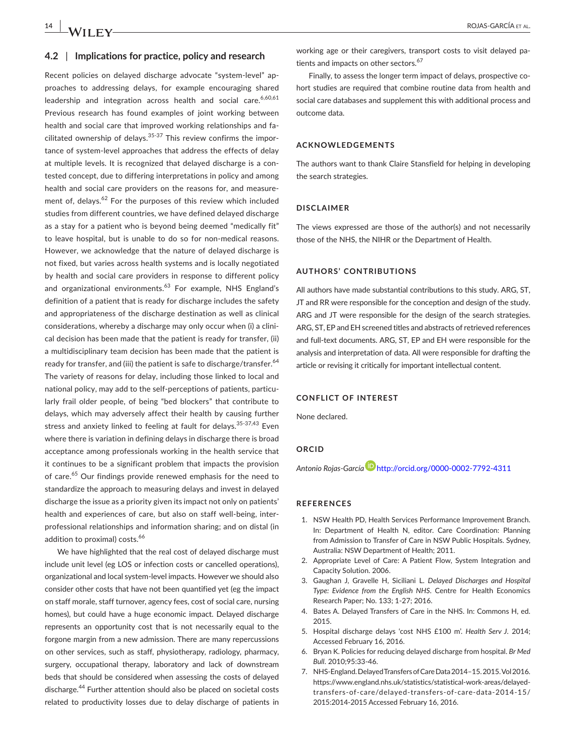#### **4.2** | **Implications for practice, policy and research**

Recent policies on delayed discharge advocate "system-level" approaches to addressing delays, for example encouraging shared leadership and integration across health and social care.<sup>6,60,61</sup> Previous research has found examples of joint working between health and social care that improved working relationships and facilitated ownership of delays.<sup>35-37</sup> This review confirms the importance of system-level approaches that address the effects of delay at multiple levels. It is recognized that delayed discharge is a contested concept, due to differing interpretations in policy and among health and social care providers on the reasons for, and measurement of, delays.<sup>62</sup> For the purposes of this review which included studies from different countries, we have defined delayed discharge as a stay for a patient who is beyond being deemed "medically fit" to leave hospital, but is unable to do so for non-medical reasons. However, we acknowledge that the nature of delayed discharge is not fixed, but varies across health systems and is locally negotiated by health and social care providers in response to different policy and organizational environments.<sup>63</sup> For example, NHS England's definition of a patient that is ready for discharge includes the safety and appropriateness of the discharge destination as well as clinical considerations, whereby a discharge may only occur when (i) a clinical decision has been made that the patient is ready for transfer, (ii) a multidisciplinary team decision has been made that the patient is ready for transfer, and (iii) the patient is safe to discharge/transfer.<sup>64</sup> The variety of reasons for delay, including those linked to local and national policy, may add to the self-perceptions of patients, particularly frail older people, of being "bed blockers" that contribute to delays, which may adversely affect their health by causing further stress and anxiety linked to feeling at fault for delays.  $35-37,43$  Even where there is variation in defining delays in discharge there is broad acceptance among professionals working in the health service that it continues to be a significant problem that impacts the provision of care.<sup>65</sup> Our findings provide renewed emphasis for the need to standardize the approach to measuring delays and invest in delayed discharge the issue as a priority given its impact not only on patients' health and experiences of care, but also on staff well-being, interprofessional relationships and information sharing; and on distal (in addition to proximal) costs.<sup>66</sup>

We have highlighted that the real cost of delayed discharge must include unit level (eg LOS or infection costs or cancelled operations), organizational and local system-level impacts. However we should also consider other costs that have not been quantified yet (eg the impact on staff morale, staff turnover, agency fees, cost of social care, nursing homes), but could have a huge economic impact. Delayed discharge represents an opportunity cost that is not necessarily equal to the forgone margin from a new admission. There are many repercussions on other services, such as staff, physiotherapy, radiology, pharmacy, surgery, occupational therapy, laboratory and lack of downstream beds that should be considered when assessing the costs of delayed discharge.<sup>44</sup> Further attention should also be placed on societal costs related to productivity losses due to delay discharge of patients in

working age or their caregivers, transport costs to visit delayed patients and impacts on other sectors.<sup>67</sup>

Finally, to assess the longer term impact of delays, prospective cohort studies are required that combine routine data from health and social care databases and supplement this with additional process and outcome data.

#### **ACKNOWLEDGEMENTS**

The authors want to thank Claire Stansfield for helping in developing the search strategies.

#### **DISCLAIMER**

The views expressed are those of the author(s) and not necessarily those of the NHS, the NIHR or the Department of Health.

#### **AUTHORS' CONTRIBUTIONS**

All authors have made substantial contributions to this study. ARG, ST, JT and RR were responsible for the conception and design of the study. ARG and JT were responsible for the design of the search strategies. ARG, ST, EP and EH screened titles and abstracts of retrieved references and full-text documents. ARG, ST, EP and EH were responsible for the analysis and interpretation of data. All were responsible for drafting the article or revising it critically for important intellectual content.

#### **CONFLICT OF INTEREST**

None declared.

#### **ORCID**

*Antonio Rojas-Garcí[a](http://orcid.org/0000-0002-7792-4311﻿﻿﻿)* <http://orcid.org/0000-0002-7792-4311>

#### **REFERENCES**

- 1. NSW Health PD, Health Services Performance Improvement Branch. In: Department of Health N, editor. Care Coordination: Planning from Admission to Transfer of Care in NSW Public Hospitals. Sydney, Australia: NSW Department of Health; 2011.
- 2. Appropriate Level of Care: A Patient Flow, System Integration and Capacity Solution. 2006.
- 3. Gaughan J, Gravelle H, Siciliani L. *Delayed Discharges and Hospital Type: Evidence from the English NHS*. Centre for Health Economics Research Paper; No. 133; 1-27; 2016.
- 4. Bates A. Delayed Transfers of Care in the NHS. In: Commons H, ed. 2015.
- 5. Hospital discharge delays 'cost NHS £100 m'. *Health Serv J*. 2014; Accessed February 16, 2016.
- 6. Bryan K. Policies for reducing delayed discharge from hospital. *Br Med Bull*. 2010;95:33-46.
- 7. NHS-England. Delayed Transfers of Care Data 2014–15. 2015. Vol 2016. [https://www.england.nhs.uk/statistics/statistical-work-areas/delayed](https://www.england.nhs.uk/statistics/statistical-work-areas/delayed-transfers-of-care/delayed-transfers-of-care-data-2014-15/2015:2014-2015)[transfers-of-care/delayed-transfers-of-care-data-2014-15/](https://www.england.nhs.uk/statistics/statistical-work-areas/delayed-transfers-of-care/delayed-transfers-of-care-data-2014-15/2015:2014-2015) [2015:2014-2015](https://www.england.nhs.uk/statistics/statistical-work-areas/delayed-transfers-of-care/delayed-transfers-of-care-data-2014-15/2015:2014-2015) Accessed February 16, 2016.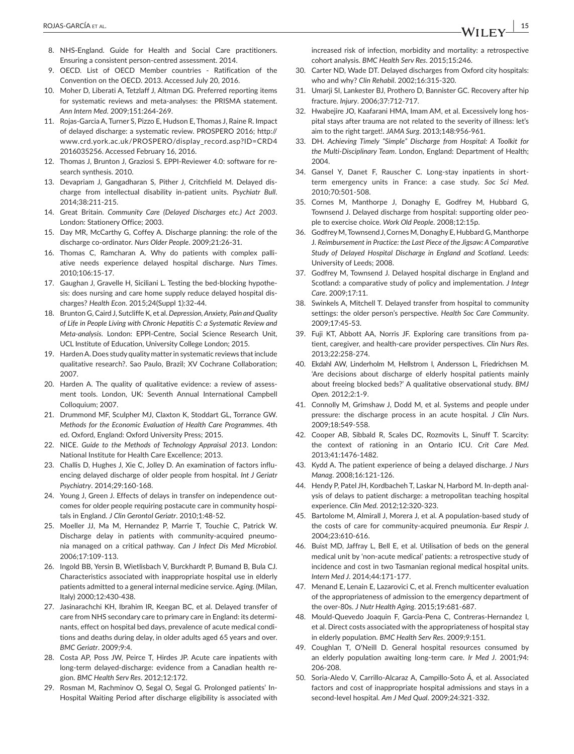- 8. NHS-England. Guide for Health and Social Care practitioners. Ensuring a consistent person-centred assessment. 2014.
- 9. OECD. List of OECD Member countries Ratification of the Convention on the OECD. 2013. Accessed July 20, 2016.
- 10. Moher D, Liberati A, Tetzlaff J, Altman DG. Preferred reporting items for systematic reviews and meta-analyses: the PRISMA statement. *Ann Intern Med*. 2009;151:264-269.
- 11. Rojas-Garcia A, Turner S, Pizzo E, Hudson E, Thomas J, Raine R. Impact of delayed discharge: a systematic review. PROSPERO 2016; [http://](http://www.crd.york.ac.uk/PROSPERO/display_record.asp?ID=CRD42016035256) [www.crd.york.ac.uk/PROSPERO/display\\_record.asp?ID=CRD4](http://www.crd.york.ac.uk/PROSPERO/display_record.asp?ID=CRD42016035256) [2016035256.](http://www.crd.york.ac.uk/PROSPERO/display_record.asp?ID=CRD42016035256) Accessed February 16, 2016.
- 12. Thomas J, Brunton J, Graziosi S. EPPI-Reviewer 4.0: software for research synthesis. 2010.
- 13. Devapriam J, Gangadharan S, Pither J, Critchfield M. Delayed discharge from intellectual disability in-patient units. *Psychiatr Bull*. 2014;38:211-215.
- 14. Great Britain. *Community Care (Delayed Discharges etc.) Act 2003*. London: Stationery Office; 2003.
- 15. Day MR, McCarthy G, Coffey A. Discharge planning: the role of the discharge co-ordinator. *Nurs Older People*. 2009;21:26-31.
- 16. Thomas C, Ramcharan A. Why do patients with complex palliative needs experience delayed hospital discharge. *Nurs Times*. 2010;106:15-17.
- 17. Gaughan J, Gravelle H, Siciliani L. Testing the bed-blocking hypothesis: does nursing and care home supply reduce delayed hospital discharges? *Health Econ*. 2015;24(Suppl 1):32-44.
- 18. Brunton G, Caird J, Sutcliffe K, et al. *Depression, Anxiety, Pain and Quality of Life in People Living with Chronic Hepatitis C: a Systematic Review and Meta-analysis*. London: EPPI-Centre, Social Science Research Unit, UCL Institute of Education, University College London; 2015.
- 19. Harden A. Does study quality matter in systematic reviews that include qualitative research?. Sao Paulo, Brazil; XV Cochrane Collaboration; 2007.
- 20. Harden A. The quality of qualitative evidence: a review of assessment tools. London, UK: Seventh Annual International Campbell Colloquium; 2007.
- 21. Drummond MF, Sculpher MJ, Claxton K, Stoddart GL, Torrance GW. *Methods for the Economic Evaluation of Health Care Programmes*. 4th ed. Oxford, England: Oxford University Press; 2015.
- 22. NICE. *Guide to the Methods of Technology Appraisal 2013*. London: National Institute for Health Care Excellence; 2013.
- 23. Challis D, Hughes J, Xie C, Jolley D. An examination of factors influencing delayed discharge of older people from hospital. *Int J Geriatr Psychiatry*. 2014;29:160-168.
- 24. Young J, Green J. Effects of delays in transfer on independence outcomes for older people requiring postacute care in community hospitals in England. *J Clin Gerontol Geriatr*. 2010;1:48-52.
- 25. Moeller JJ, Ma M, Hernandez P, Marrie T, Touchie C, Patrick W. Discharge delay in patients with community-acquired pneumonia managed on a critical pathway. *Can J Infect Dis Med Microbiol.* 2006;17:109-113.
- 26. Ingold BB, Yersin B, Wietlisbach V, Burckhardt P, Bumand B, Bula CJ. Characteristics associated with inappropriate hospital use in elderly patients admitted to a general internal medicine service. *Aging.* (Milan, Italy) 2000;12:430-438.
- 27. Jasinarachchi KH, Ibrahim IR, Keegan BC, et al. Delayed transfer of care from NHS secondary care to primary care in England: its determinants, effect on hospital bed days, prevalence of acute medical conditions and deaths during delay, in older adults aged 65 years and over. *BMC Geriatr*. 2009;9:4.
- 28. Costa AP, Poss JW, Peirce T, Hirdes JP. Acute care inpatients with long-term delayed-discharge: evidence from a Canadian health region. *BMC Health Serv Res*. 2012;12:172.
- 29. Rosman M, Rachminov O, Segal O, Segal G. Prolonged patients' In-Hospital Waiting Period after discharge eligibility is associated with

increased risk of infection, morbidity and mortality: a retrospective cohort analysis. *BMC Health Serv Res*. 2015;15:246.

- 30. Carter ND, Wade DT. Delayed discharges from Oxford city hospitals: who and why? *Clin Rehabil*. 2002;16:315-320.
- 31. Umarii SI, Lankester BJ, Prothero D, Bannister GC, Recovery after hip fracture. *Injury*. 2006;37:712-717.
- 32. Hwabejire JO, Kaafarani HMA, Imam AM, et al. Excessively long hospital stays after trauma are not related to the severity of illness: let's aim to the right target!. *JAMA Surg*. 2013;148:956-961.
- 33. DH. *Achieving Timely "Simple" Discharge from Hospital: A Toolkit for the Multi-Disciplinary Team*. London, England: Department of Health; 2004.
- 34. Gansel Y, Danet F, Rauscher C. Long-stay inpatients in shortterm emergency units in France: a case study. *Soc Sci Med*. 2010;70:501-508.
- 35. Cornes M, Manthorpe J, Donaghy E, Godfrey M, Hubbard G, Townsend J. Delayed discharge from hospital: supporting older people to exercise choice. *Work Old People*. 2008;12:15p.
- 36. Godfrey M, Townsend J, Cornes M, Donaghy E, Hubbard G, Manthorpe J. *Reimbursement in Practice: the Last Piece of the Jigsaw: A Comparative Study of Delayed Hospital Discharge in England and Scotland*. Leeds: University of Leeds; 2008.
- 37. Godfrey M, Townsend J. Delayed hospital discharge in England and Scotland: a comparative study of policy and implementation. *J Integr Care*. 2009;17:11.
- 38. Swinkels A, Mitchell T. Delayed transfer from hospital to community settings: the older person's perspective. *Health Soc Care Community*. 2009;17:45-53.
- 39. Fuji KT, Abbott AA, Norris JF. Exploring care transitions from patient, caregiver, and health-care provider perspectives. *Clin Nurs Res*. 2013;22:258-274.
- 40. Ekdahl AW, Linderholm M, Hellstrom I, Andersson L, Friedrichsen M. 'Are decisions about discharge of elderly hospital patients mainly about freeing blocked beds?' A qualitative observational study. *BMJ Open.* 2012;2:1-9.
- 41. Connolly M, Grimshaw J, Dodd M, et al. Systems and people under pressure: the discharge process in an acute hospital. *J Clin Nurs*. 2009;18:549-558.
- 42. Cooper AB, Sibbald R, Scales DC, Rozmovits L, Sinuff T. Scarcity: the context of rationing in an Ontario ICU. *Crit Care Med*. 2013;41:1476-1482.
- 43. Kydd A. The patient experience of being a delayed discharge. *J Nurs Manag*. 2008;16:121-126.
- 44. Hendy P, Patel JH, Kordbacheh T, Laskar N, Harbord M. In-depth analysis of delays to patient discharge: a metropolitan teaching hospital experience. *Clin Med*. 2012;12:320-323.
- 45. Bartolome M, Almirall J, Morera J, et al. A population-based study of the costs of care for community-acquired pneumonia. *Eur Respir J*. 2004;23:610-616.
- 46. Buist MD, Jaffray L, Bell E, et al. Utilisation of beds on the general medical unit by 'non-acute medical' patients: a retrospective study of incidence and cost in two Tasmanian regional medical hospital units. *Intern Med J*. 2014;44:171-177.
- 47. Menand E, Lenain E, Lazarovici C, et al. French multicenter evaluation of the appropriateness of admission to the emergency department of the over-80s. *J Nutr Health Aging*. 2015;19:681-687.
- 48. Mould-Quevedo Joaquin F, Garcia-Pena C, Contreras-Hernandez I, et al. Direct costs associated with the appropriateness of hospital stay in elderly population. *BMC Health Serv Res*. 2009;9:151.
- 49. Coughlan T, O'Neill D. General hospital resources consumed by an elderly population awaiting long-term care. *Ir Med J*. 2001;94: 206-208.
- 50. Soria-Aledo V, Carrillo-Alcaraz A, Campillo-Soto Á, et al. Associated factors and cost of inappropriate hospital admissions and stays in a second-level hospital. *Am J Med Qual*. 2009;24:321-332.